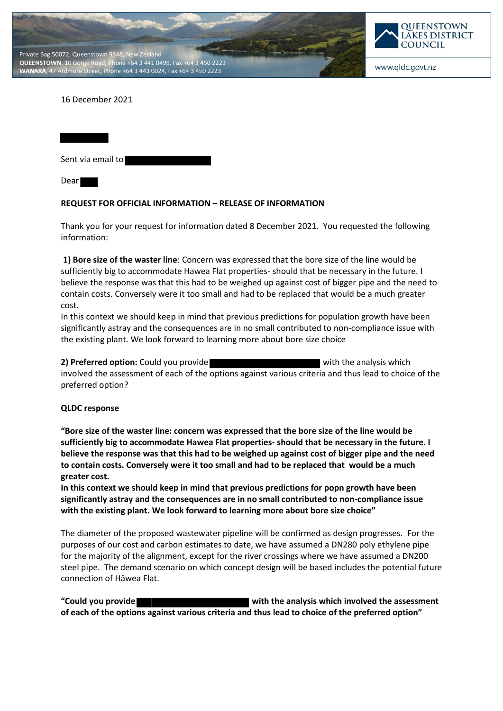



www.qldc.govt.nz

## 16 December 2021

Sent via email to Dear

## **REQUEST FOR OFFICIAL INFORMATION – RELEASE OF INFORMATION**

Thank you for your request for information dated 8 December 2021. You requested the following information:

**1) Bore size of the waster line**: Concern was expressed that the bore size of the line would be sufficiently big to accommodate Hawea Flat properties- should that be necessary in the future. I believe the response was that this had to be weighed up against cost of bigger pipe and the need to contain costs. Conversely were it too small and had to be replaced that would be a much greater cost.

In this context we should keep in mind that previous predictions for population growth have been significantly astray and the consequences are in no small contributed to non-compliance issue with the existing plant. We look forward to learning more about bore size choice

**2) Preferred option:** Could you provide with the analysis which involved the assessment of each of the options against various criteria and thus lead to choice of the preferred option?

## **QLDC response**

**"Bore size of the waster line: concern was expressed that the bore size of the line would be sufficiently big to accommodate Hawea Flat properties- should that be necessary in the future. I believe the response was that this had to be weighed up against cost of bigger pipe and the need to contain costs. Conversely were it too small and had to be replaced that would be a much greater cost.**

**In this context we should keep in mind that previous predictions for popn growth have been significantly astray and the consequences are in no small contributed to non-compliance issue with the existing plant. We look forward to learning more about bore size choice"**

The diameter of the proposed wastewater pipeline will be confirmed as design progresses. For the purposes of our cost and carbon estimates to date, we have assumed a DN280 poly ethylene pipe for the majority of the alignment, except for the river crossings where we have assumed a DN200 steel pipe. The demand scenario on which concept design will be based includes the potential future connection of Hāwea Flat.

**"Could you provide with the analysis which involved the assessment of each of the options against various criteria and thus lead to choice of the preferred option"**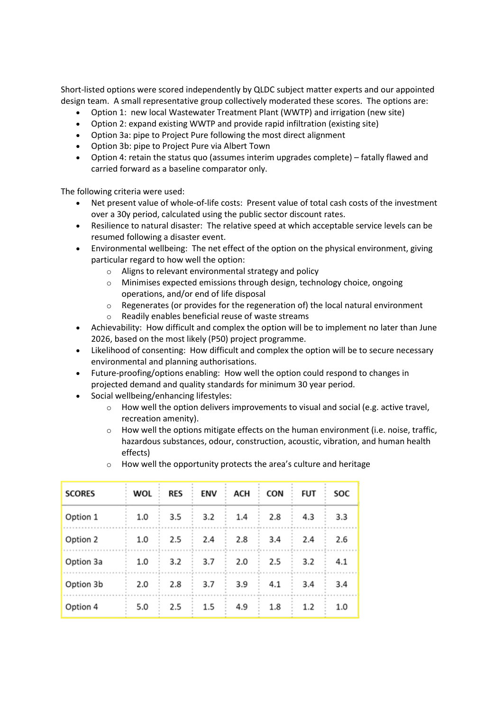Short-listed options were scored independently by QLDC subject matter experts and our appointed design team. A small representative group collectively moderated these scores. The options are:

- Option 1: new local Wastewater Treatment Plant (WWTP) and irrigation (new site)
- Option 2: expand existing WWTP and provide rapid infiltration (existing site)
- Option 3a: pipe to Project Pure following the most direct alignment
- Option 3b: pipe to Project Pure via Albert Town
- Option 4: retain the status quo (assumes interim upgrades complete) fatally flawed and carried forward as a baseline comparator only.

The following criteria were used:

- Net present value of whole-of-life costs: Present value of total cash costs of the investment over a 30y period, calculated using the public sector discount rates.
- Resilience to natural disaster: The relative speed at which acceptable service levels can be resumed following a disaster event.
- Environmental wellbeing: The net effect of the option on the physical environment, giving particular regard to how well the option:
	- o Aligns to relevant environmental strategy and policy
	- $\circ$  Minimises expected emissions through design, technology choice, ongoing operations, and/or end of life disposal
	- $\circ$  Regenerates (or provides for the regeneration of) the local natural environment
	- o Readily enables beneficial reuse of waste streams
- Achievability: How difficult and complex the option will be to implement no later than June 2026, based on the most likely (P50) project programme.
- Likelihood of consenting: How difficult and complex the option will be to secure necessary environmental and planning authorisations.
- Future-proofing/options enabling: How well the option could respond to changes in projected demand and quality standards for minimum 30 year period.
- Social wellbeing/enhancing lifestyles:
	- $\circ$  How well the option delivers improvements to visual and social (e.g. active travel, recreation amenity).
	- $\circ$  How well the options mitigate effects on the human environment (i.e. noise, traffic, hazardous substances, odour, construction, acoustic, vibration, and human health effects)

| <b>SCORES</b> | WOL | <b>RES</b> | ENV | ACH | CON | FUT | SOC |
|---------------|-----|------------|-----|-----|-----|-----|-----|
| Option 1      | 1.0 | 3.5        | 3.2 | 1.4 | 2.8 | 4.3 | 3.3 |
| Option 2      | 1.0 | 2.5        | 2.4 | 2.8 | 3.4 | 2.4 | 2.6 |
| Option 3a     | 1.0 | 3.2        | 3.7 | 2.0 | 2.5 | 3.2 | 4.1 |
| Option 3b     | 2.0 | 2.8        | 3.7 | 3.9 | 4.1 | 3.4 | 3.4 |
| Option 4      | 5.0 | 2.5        | 1.5 | 4.9 | 1.8 | 1.2 | 1.0 |

o How well the opportunity protects the area's culture and heritage